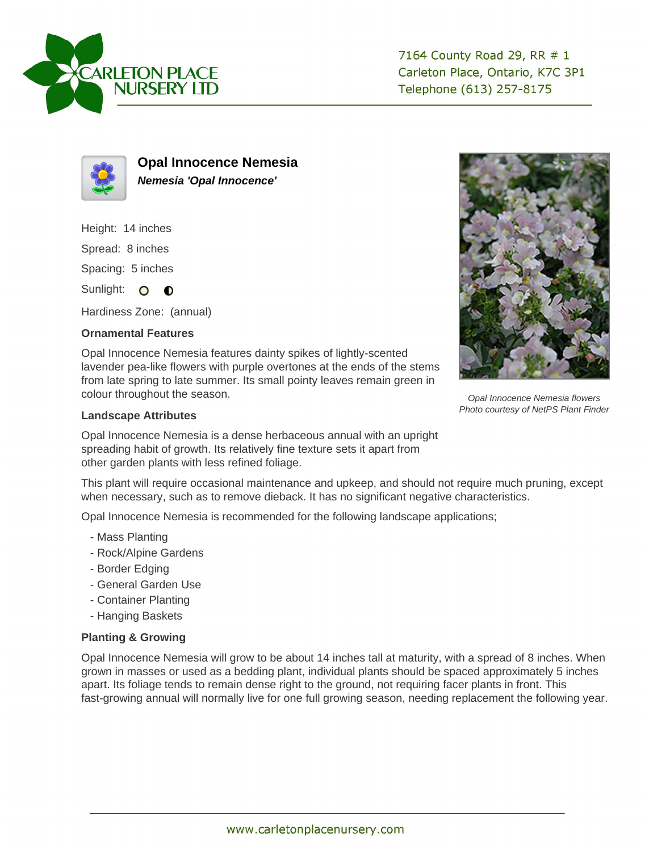

7164 County Road 29, RR # 1 Carleton Place, Ontario, K7C 3P1 Telephone (613) 257-8175



**Opal Innocence Nemesia Nemesia 'Opal Innocence'**

Height: 14 inches

Spread: 8 inches

Spacing: 5 inches

Sunlight: O **O** 

Hardiness Zone: (annual)

## **Ornamental Features**

Opal Innocence Nemesia features dainty spikes of lightly-scented lavender pea-like flowers with purple overtones at the ends of the stems from late spring to late summer. Its small pointy leaves remain green in colour throughout the season.

## **Landscape Attributes**

Opal Innocence Nemesia is a dense herbaceous annual with an upright spreading habit of growth. Its relatively fine texture sets it apart from other garden plants with less refined foliage.

This plant will require occasional maintenance and upkeep, and should not require much pruning, except when necessary, such as to remove dieback. It has no significant negative characteristics.

Opal Innocence Nemesia is recommended for the following landscape applications;

- Mass Planting
- Rock/Alpine Gardens
- Border Edging
- General Garden Use
- Container Planting
- Hanging Baskets

## **Planting & Growing**

Opal Innocence Nemesia will grow to be about 14 inches tall at maturity, with a spread of 8 inches. When grown in masses or used as a bedding plant, individual plants should be spaced approximately 5 inches apart. Its foliage tends to remain dense right to the ground, not requiring facer plants in front. This fast-growing annual will normally live for one full growing season, needing replacement the following year.



Opal Innocence Nemesia flowers Photo courtesy of NetPS Plant Finder